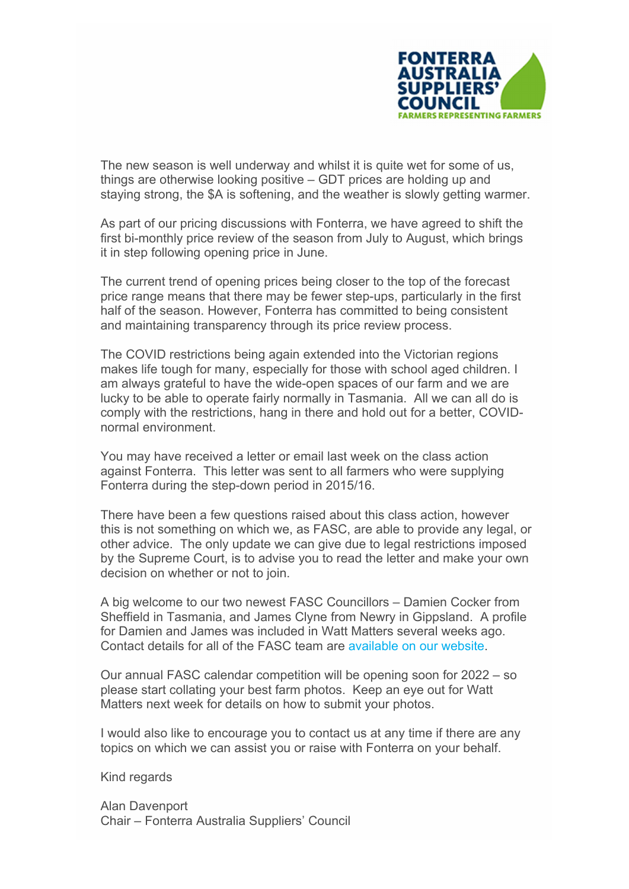

The new season is well underway and whilst it is quite wet for some of us, things are otherwise looking positive – GDT prices are holding up and staying strong, the \$A is softening, and the weather is slowly getting warmer.

As part of our pricing discussions with Fonterra, we have agreed to shift the first bi-monthly price review of the season from July to August, which brings it in step following opening price in June.

The current trend of opening prices being closer to the top of the forecast price range means that there may be fewer step-ups, particularly in the first half of the season. However, Fonterra has committed to being consistent and maintaining transparency through its price review process.

The COVID restrictions being again extended into the Victorian regions makes life tough for many, especially for those with school aged children. I am always grateful to have the wide-open spaces of our farm and we are lucky to be able to operate fairly normally in Tasmania. All we can all do is comply with the restrictions, hang in there and hold out for a better, COVIDnormal environment.

You may have received a letter or email last week on the class action against Fonterra. This letter was sent to all farmers who were supplying Fonterra during the step-down period in 2015/16.

There have been a few questions raised about this class action, however this is not something on which we, as FASC, are able to provide any legal, or other advice. The only update we can give due to legal restrictions imposed by the Supreme Court, is to advise you to read the letter and make your own decision on whether or not to join.

A big welcome to our two newest FASC Councillors – Damien Cocker from Sheffield in Tasmania, and James Clyne from Newry in Gippsland. A profile for Damien and James was included in Watt Matters several weeks ago. Contact details for all of the FASC team are available on our website.

Our annual FASC calendar competition will be opening soon for 2022 – so please start collating your best farm photos. Keep an eye out for Watt Matters next week for details on how to submit your photos.

I would also like to encourage you to contact us at any time if there are any topics on which we can assist you or raise with Fonterra on your behalf.

Kind regards

Alan Davenport Chair – Fonterra Australia Suppliers' Council